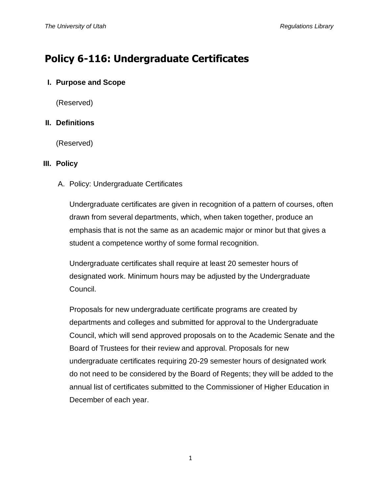# **Policy 6-116: Undergraduate Certificates**

## **I. Purpose and Scope**

(Reserved)

## **II. Definitions**

(Reserved)

## **III. Policy**

A. Policy: Undergraduate Certificates

Undergraduate certificates are given in recognition of a pattern of courses, often drawn from several departments, which, when taken together, produce an emphasis that is not the same as an academic major or minor but that gives a student a competence worthy of some formal recognition.

Undergraduate certificates shall require at least 20 semester hours of designated work. Minimum hours may be adjusted by the Undergraduate Council.

Proposals for new undergraduate certificate programs are created by departments and colleges and submitted for approval to the Undergraduate Council, which will send approved proposals on to the Academic Senate and the Board of Trustees for their review and approval. Proposals for new undergraduate certificates requiring 20-29 semester hours of designated work do not need to be considered by the Board of Regents; they will be added to the annual list of certificates submitted to the Commissioner of Higher Education in December of each year.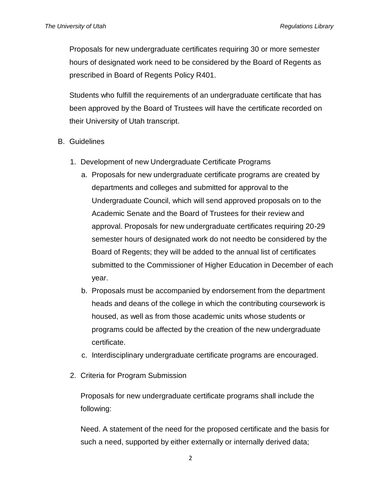Proposals for new undergraduate certificates requiring 30 or more semester hours of designated work need to be considered by the Board of Regents as prescribed in Board of Regents Policy R401.

Students who fulfill the requirements of an undergraduate certificate that has been approved by the Board of Trustees will have the certificate recorded on their University of Utah transcript.

- B. Guidelines
	- 1. Development of new Undergraduate Certificate Programs
		- a. Proposals for new undergraduate certificate programs are created by departments and colleges and submitted for approval to the Undergraduate Council, which will send approved proposals on to the Academic Senate and the Board of Trustees for their review and approval. Proposals for new undergraduate certificates requiring 20-29 semester hours of designated work do not needto be considered by the Board of Regents; they will be added to the annual list of certificates submitted to the Commissioner of Higher Education in December of each year.
		- b. Proposals must be accompanied by endorsement from the department heads and deans of the college in which the contributing coursework is housed, as well as from those academic units whose students or programs could be affected by the creation of the new undergraduate certificate.
		- c. Interdisciplinary undergraduate certificate programs are encouraged.
	- 2. Criteria for Program Submission

Proposals for new undergraduate certificate programs shall include the following:

Need. A statement of the need for the proposed certificate and the basis for such a need, supported by either externally or internally derived data;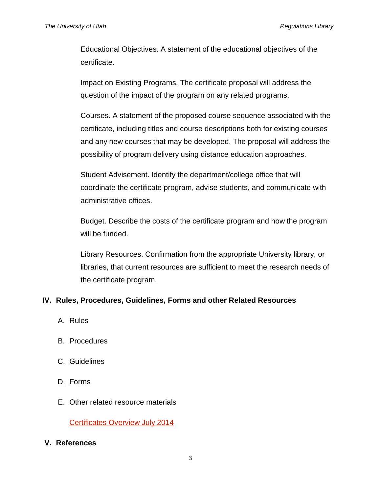Educational Objectives. A statement of the educational objectives of the certificate.

Impact on Existing Programs. The certificate proposal will address the question of the impact of the program on any related programs.

Courses. A statement of the proposed course sequence associated with the certificate, including titles and course descriptions both for existing courses and any new courses that may be developed. The proposal will address the possibility of program delivery using distance education approaches.

Student Advisement. Identify the department/college office that will coordinate the certificate program, advise students, and communicate with administrative offices.

Budget. Describe the costs of the certificate program and how the program will be funded.

Library Resources. Confirmation from the appropriate University library, or libraries, that current resources are sufficient to meet the research needs of the certificate program.

## **IV. Rules, Procedures, Guidelines, Forms and other Related Resources**

- A. Rules
- B. Procedures
- C. Guidelines
- D. Forms
- E. Other related resource materials

[Certificates Overview July 2014](http://regulations.utah.edu/academics/appendices_6/6-116_Certificates%20Overview%20July%202014.pdf)

#### **V. References**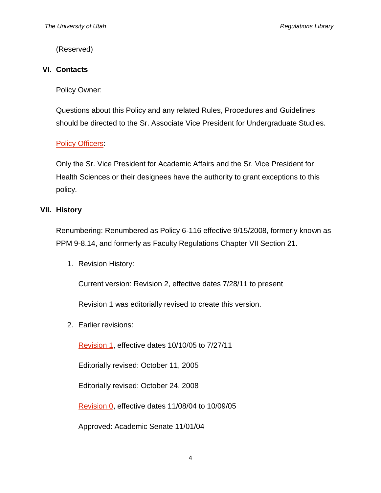(Reserved)

#### **VI. Contacts**

Policy Owner:

Questions about this Policy and any related Rules, Procedures and Guidelines should be directed to the Sr. Associate Vice President for Undergraduate Studies.

### **[Policy Officers:](http://regulations.utah.edu/info/index.php)**

Only the Sr. Vice President for Academic Affairs and the Sr. Vice President for Health Sciences or their designees have the authority to grant exceptions to this policy.

#### **VII. History**

Renumbering: Renumbered as Policy 6-116 effective 9/15/2008, formerly known as PPM 9-8.14, and formerly as Faculty Regulations Chapter VII Section 21.

1. Revision History:

Current version: Revision 2, effective dates 7/28/11 to present

Revision 1 was editorially revised to create this version.

2. Earlier revisions:

[Revision 1,](http://regulations.utah.edu/academics/revisions_6/6-116.R1.pdf) effective dates 10/10/05 to 7/27/11

Editorially revised: October 11, 2005

Editorially revised: October 24, 2008

[Revision 0,](http://regulations.utah.edu/academics/revisions_6/6-116.R0.pdf) effective dates 11/08/04 to 10/09/05

Approved: Academic Senate 11/01/04